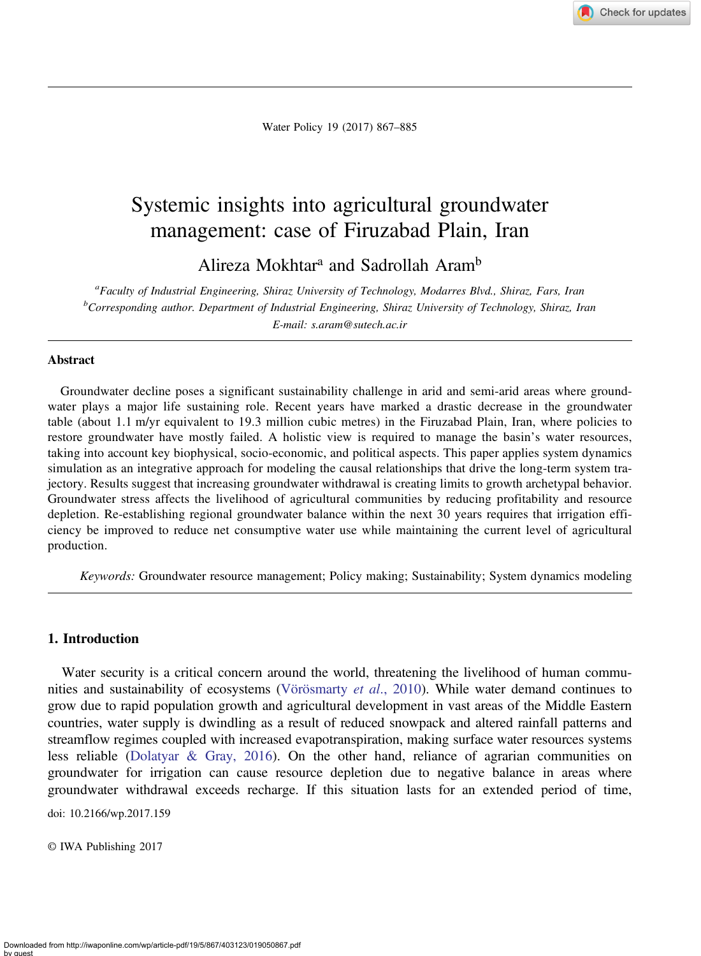

Water Policy 19 (2017) 867–885

# Systemic insights into agricultural groundwater management: case of Firuzabad Plain, Iran

Alireza Mokhtara and Sadrollah Aramb

<sup>a</sup>Faculty of Industrial Engineering, Shiraz University of Technology, Modarres Blvd., Shiraz, Fars, Iran <sup>b</sup>Corresponding author. Department of Industrial Engineering, Shiraz University of Technology, Shiraz, Iran E-mail: [s.aram@sutech.ac.ir](mailto:s.aram@sutech.ac.ir)

#### Abstract

Groundwater decline poses a significant sustainability challenge in arid and semi-arid areas where groundwater plays a major life sustaining role. Recent years have marked a drastic decrease in the groundwater table (about 1.1 m/yr equivalent to 19.3 million cubic metres) in the Firuzabad Plain, Iran, where policies to restore groundwater have mostly failed. A holistic view is required to manage the basin's water resources, taking into account key biophysical, socio-economic, and political aspects. This paper applies system dynamics simulation as an integrative approach for modeling the causal relationships that drive the long-term system trajectory. Results suggest that increasing groundwater withdrawal is creating limits to growth archetypal behavior. Groundwater stress affects the livelihood of agricultural communities by reducing profitability and resource depletion. Re-establishing regional groundwater balance within the next 30 years requires that irrigation efficiency be improved to reduce net consumptive water use while maintaining the current level of agricultural production.

Keywords: Groundwater resource management; Policy making; Sustainability; System dynamics modeling

# 1. Introduction

Water security is a critical concern around the world, threatening the livelihood of human commu-nities and sustainability of ecosystems [\(Vörösmarty](#page-18-0) et al., 2010). While water demand continues to grow due to rapid population growth and agricultural development in vast areas of the Middle Eastern countries, water supply is dwindling as a result of reduced snowpack and altered rainfall patterns and streamflow regimes coupled with increased evapotranspiration, making surface water resources systems less reliable [\(Dolatyar & Gray, 2016\)](#page-18-0). On the other hand, reliance of agrarian communities on groundwater for irrigation can cause resource depletion due to negative balance in areas where groundwater withdrawal exceeds recharge. If this situation lasts for an extended period of time,

doi: 10.2166/wp.2017.159

© IWA Publishing 2017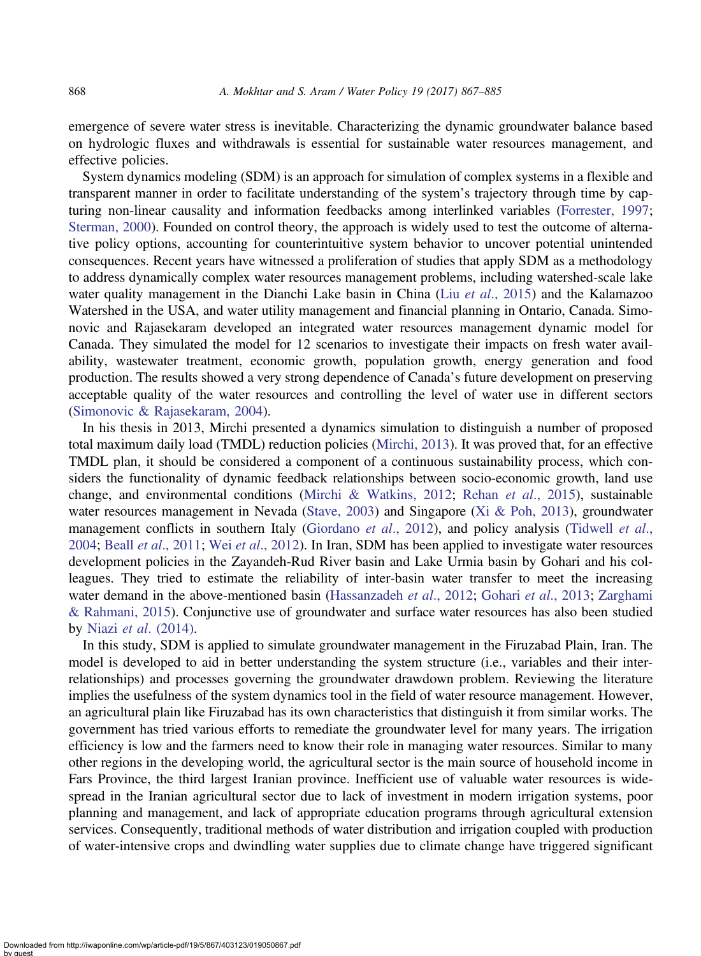emergence of severe water stress is inevitable. Characterizing the dynamic groundwater balance based on hydrologic fluxes and withdrawals is essential for sustainable water resources management, and effective policies.

System dynamics modeling (SDM) is an approach for simulation of complex systems in a flexible and transparent manner in order to facilitate understanding of the system's trajectory through time by capturing non-linear causality and information feedbacks among interlinked variables ([Forrester, 1997](#page-18-0); [Sterman, 2000](#page-18-0)). Founded on control theory, the approach is widely used to test the outcome of alternative policy options, accounting for counterintuitive system behavior to uncover potential unintended consequences. Recent years have witnessed a proliferation of studies that apply SDM as a methodology to address dynamically complex water resources management problems, including watershed-scale lake water quality management in the Dianchi Lake basin in China (Liu *et al.*, 2015) and the Kalamazoo Watershed in the USA, and water utility management and financial planning in Ontario, Canada. Simonovic and Rajasekaram developed an integrated water resources management dynamic model for Canada. They simulated the model for 12 scenarios to investigate their impacts on fresh water availability, wastewater treatment, economic growth, population growth, energy generation and food production. The results showed a very strong dependence of Canada's future development on preserving acceptable quality of the water resources and controlling the level of water use in different sectors ([Simonovic & Rajasekaram, 2004](#page-18-0)).

In his thesis in 2013, Mirchi presented a dynamics simulation to distinguish a number of proposed total maximum daily load (TMDL) reduction policies [\(Mirchi, 2013](#page-18-0)). It was proved that, for an effective TMDL plan, it should be considered a component of a continuous sustainability process, which considers the functionality of dynamic feedback relationships between socio-economic growth, land use change, and environmental conditions [\(Mirchi & Watkins, 2012](#page-18-0); Rehan et al[., 2015](#page-18-0)), sustainable water resources management in Nevada [\(Stave, 2003\)](#page-18-0) and Singapore ([Xi & Poh, 2013](#page-18-0)), groundwater management conflicts in southern Italy [\(Giordano](#page-18-0) et al., 2012), and policy analysis ([Tidwell](#page-18-0) et al., [2004](#page-18-0); Beall et al[., 2011](#page-17-0); Wei et al[., 2012\)](#page-18-0). In Iran, SDM has been applied to investigate water resources development policies in the Zayandeh-Rud River basin and Lake Urmia basin by Gohari and his colleagues. They tried to estimate the reliability of inter-basin water transfer to meet the increasing water demand in the above-mentioned basin [\(Hassanzadeh](#page-18-0) et al., 2012; Gohari et al[., 2013;](#page-18-0) [Zarghami](#page-18-0) [& Rahmani, 2015\)](#page-18-0). Conjunctive use of groundwater and surface water resources has also been studied by Niazi et al[. \(2014\).](#page-18-0)

In this study, SDM is applied to simulate groundwater management in the Firuzabad Plain, Iran. The model is developed to aid in better understanding the system structure (i.e., variables and their interrelationships) and processes governing the groundwater drawdown problem. Reviewing the literature implies the usefulness of the system dynamics tool in the field of water resource management. However, an agricultural plain like Firuzabad has its own characteristics that distinguish it from similar works. The government has tried various efforts to remediate the groundwater level for many years. The irrigation efficiency is low and the farmers need to know their role in managing water resources. Similar to many other regions in the developing world, the agricultural sector is the main source of household income in Fars Province, the third largest Iranian province. Inefficient use of valuable water resources is widespread in the Iranian agricultural sector due to lack of investment in modern irrigation systems, poor planning and management, and lack of appropriate education programs through agricultural extension services. Consequently, traditional methods of water distribution and irrigation coupled with production of water-intensive crops and dwindling water supplies due to climate change have triggered significant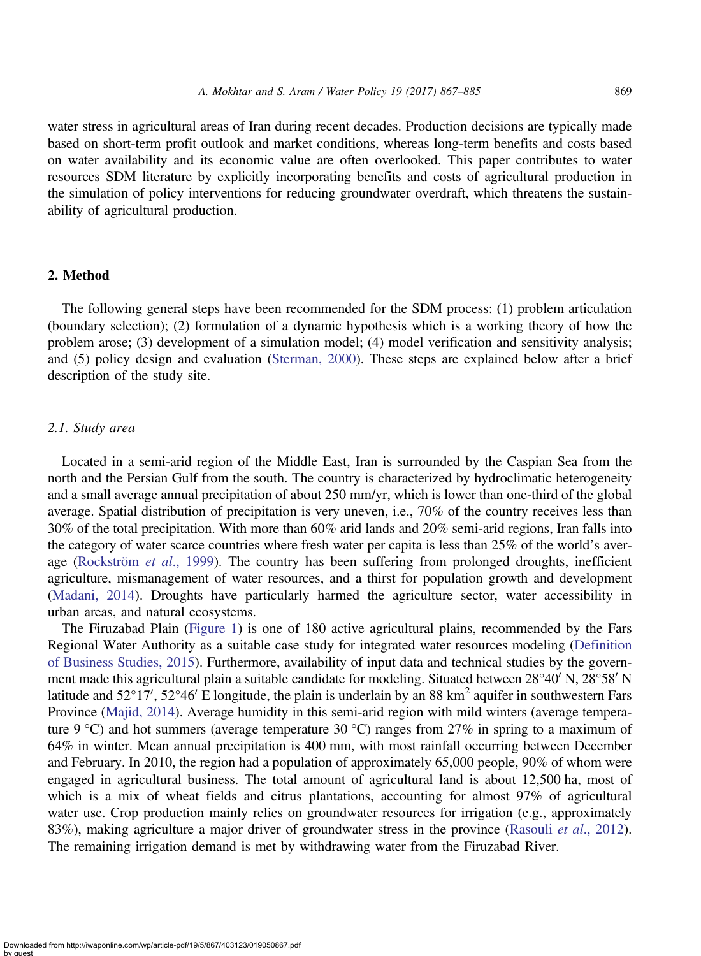water stress in agricultural areas of Iran during recent decades. Production decisions are typically made based on short-term profit outlook and market conditions, whereas long-term benefits and costs based on water availability and its economic value are often overlooked. This paper contributes to water resources SDM literature by explicitly incorporating benefits and costs of agricultural production in the simulation of policy interventions for reducing groundwater overdraft, which threatens the sustainability of agricultural production.

# 2. Method

The following general steps have been recommended for the SDM process: (1) problem articulation (boundary selection); (2) formulation of a dynamic hypothesis which is a working theory of how the problem arose; (3) development of a simulation model; (4) model verification and sensitivity analysis; and (5) policy design and evaluation [\(Sterman, 2000\)](#page-18-0). These steps are explained below after a brief description of the study site.

#### 2.1. Study area

Located in a semi-arid region of the Middle East, Iran is surrounded by the Caspian Sea from the north and the Persian Gulf from the south. The country is characterized by hydroclimatic heterogeneity and a small average annual precipitation of about 250 mm/yr, which is lower than one-third of the global average. Spatial distribution of precipitation is very uneven, i.e., 70% of the country receives less than 30% of the total precipitation. With more than 60% arid lands and 20% semi-arid regions, Iran falls into the category of water scarce countries where fresh water per capita is less than 25% of the world's aver-age [\(Rockström](#page-18-0) et al., 1999). The country has been suffering from prolonged droughts, inefficient agriculture, mismanagement of water resources, and a thirst for population growth and development ([Madani, 2014\)](#page-18-0). Droughts have particularly harmed the agriculture sector, water accessibility in urban areas, and natural ecosystems.

The Firuzabad Plain ([Figure 1\)](#page-3-0) is one of 180 active agricultural plains, recommended by the Fars Regional Water Authority as a suitable case study for integrated water resources modeling [\(Definition](#page-17-0) [of Business Studies, 2015](#page-17-0)). Furthermore, availability of input data and technical studies by the government made this agricultural plain a suitable candidate for modeling. Situated between 28°40' N, 28°58' N latitude and  $52^{\circ}17'$ ,  $52^{\circ}46'$  E longitude, the plain is underlain by an 88 km<sup>2</sup> aquifer in southwestern Fars Province [\(Majid, 2014\)](#page-18-0). Average humidity in this semi-arid region with mild winters (average temperature 9 °C) and hot summers (average temperature 30 °C) ranges from 27% in spring to a maximum of 64% in winter. Mean annual precipitation is 400 mm, with most rainfall occurring between December and February. In 2010, the region had a population of approximately 65,000 people, 90% of whom were engaged in agricultural business. The total amount of agricultural land is about 12,500 ha, most of which is a mix of wheat fields and citrus plantations, accounting for almost 97% of agricultural water use. Crop production mainly relies on groundwater resources for irrigation (e.g., approximately 83%), making agriculture a major driver of groundwater stress in the province ([Rasouli](#page-18-0) et al., 2012). The remaining irrigation demand is met by withdrawing water from the Firuzabad River.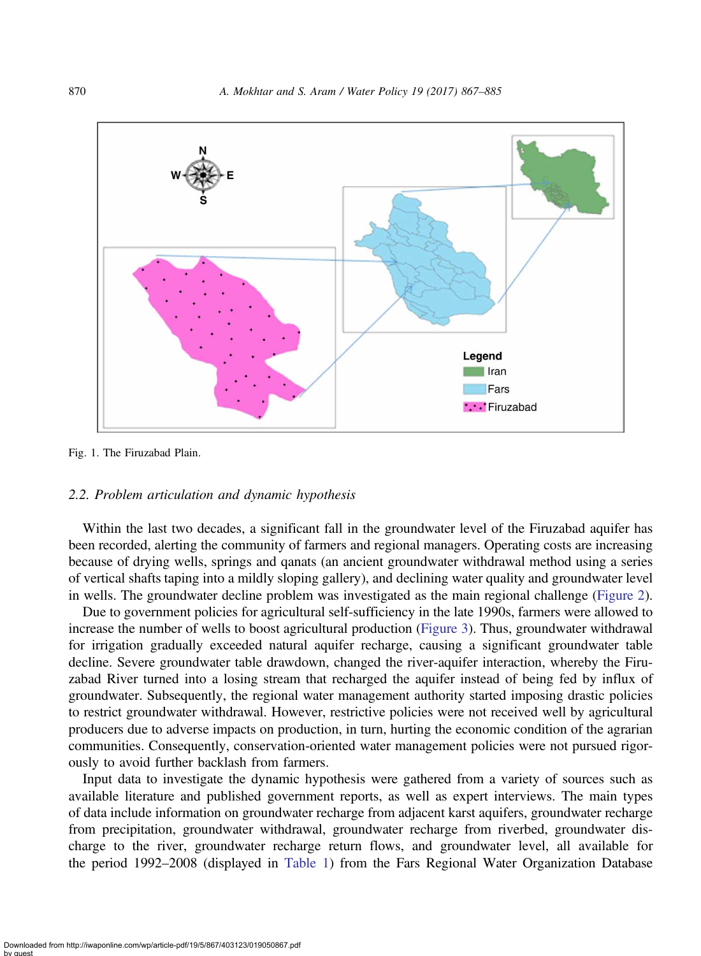<span id="page-3-0"></span>

Fig. 1. The Firuzabad Plain.

# 2.2. Problem articulation and dynamic hypothesis

Within the last two decades, a significant fall in the groundwater level of the Firuzabad aquifer has been recorded, alerting the community of farmers and regional managers. Operating costs are increasing because of drying wells, springs and qanats (an ancient groundwater withdrawal method using a series of vertical shafts taping into a mildly sloping gallery), and declining water quality and groundwater level in wells. The groundwater decline problem was investigated as the main regional challenge ([Figure 2\)](#page-4-0).

Due to government policies for agricultural self-sufficiency in the late 1990s, farmers were allowed to increase the number of wells to boost agricultural production ([Figure 3\)](#page-4-0). Thus, groundwater withdrawal for irrigation gradually exceeded natural aquifer recharge, causing a significant groundwater table decline. Severe groundwater table drawdown, changed the river-aquifer interaction, whereby the Firuzabad River turned into a losing stream that recharged the aquifer instead of being fed by influx of groundwater. Subsequently, the regional water management authority started imposing drastic policies to restrict groundwater withdrawal. However, restrictive policies were not received well by agricultural producers due to adverse impacts on production, in turn, hurting the economic condition of the agrarian communities. Consequently, conservation-oriented water management policies were not pursued rigorously to avoid further backlash from farmers.

Input data to investigate the dynamic hypothesis were gathered from a variety of sources such as available literature and published government reports, as well as expert interviews. The main types of data include information on groundwater recharge from adjacent karst aquifers, groundwater recharge from precipitation, groundwater withdrawal, groundwater recharge from riverbed, groundwater discharge to the river, groundwater recharge return flows, and groundwater level, all available for the period 1992–2008 (displayed in [Table 1\)](#page-5-0) from the Fars Regional Water Organization Database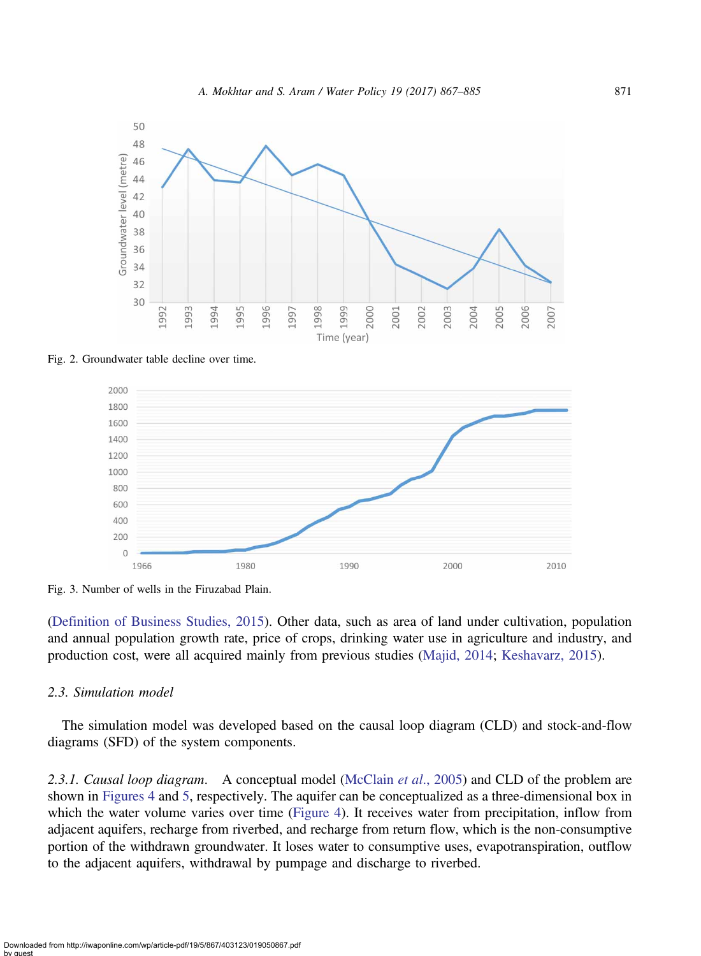<span id="page-4-0"></span>

Fig. 2. Groundwater table decline over time.



Fig. 3. Number of wells in the Firuzabad Plain.

([Definition of Business Studies, 2015](#page-17-0)). Other data, such as area of land under cultivation, population and annual population growth rate, price of crops, drinking water use in agriculture and industry, and production cost, were all acquired mainly from previous studies ([Majid, 2014](#page-18-0); [Keshavarz, 2015\)](#page-18-0).

### 2.3. Simulation model

The simulation model was developed based on the causal loop diagram (CLD) and stock-and-flow diagrams (SFD) of the system components.

2.3.1. Causal loop diagram. A conceptual model ([McClain](#page-18-0) et al., 2005) and CLD of the problem are shown in [Figures 4](#page-5-0) and [5](#page-6-0), respectively. The aquifer can be conceptualized as a three-dimensional box in which the water volume varies over time ([Figure 4](#page-5-0)). It receives water from precipitation, inflow from adjacent aquifers, recharge from riverbed, and recharge from return flow, which is the non-consumptive portion of the withdrawn groundwater. It loses water to consumptive uses, evapotranspiration, outflow to the adjacent aquifers, withdrawal by pumpage and discharge to riverbed.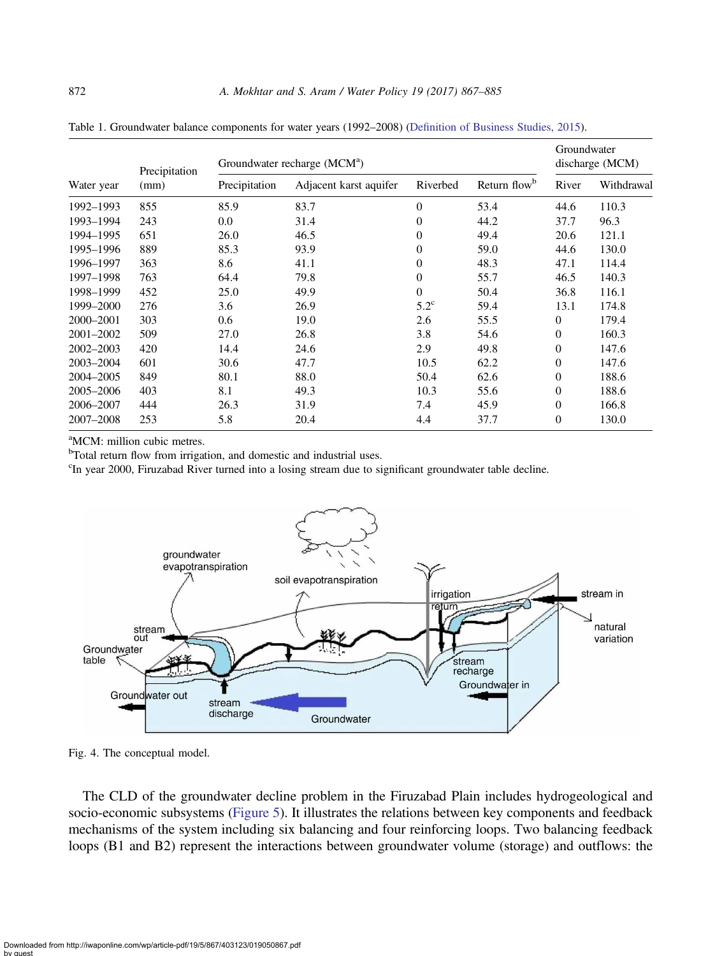|            | Precipitation<br>(mm) | Groundwater recharge (MCM <sup>a</sup> ) |                        |               |                          | Groundwater<br>discharge (MCM) |            |
|------------|-----------------------|------------------------------------------|------------------------|---------------|--------------------------|--------------------------------|------------|
| Water year |                       | Precipitation                            | Adjacent karst aquifer | Riverbed      | Return flow <sup>b</sup> | River                          | Withdrawal |
| 1992-1993  | 855                   | 85.9                                     | 83.7                   | $\Omega$      | 53.4                     | 44.6                           | 110.3      |
| 1993-1994  | 243                   | 0.0                                      | 31.4                   | $\Omega$      | 44.2                     | 37.7                           | 96.3       |
| 1994-1995  | 651                   | 26.0                                     | 46.5                   | $\Omega$      | 49.4                     | 20.6                           | 121.1      |
| 1995-1996  | 889                   | 85.3                                     | 93.9                   | $\mathbf{0}$  | 59.0                     | 44.6                           | 130.0      |
| 1996-1997  | 363                   | 8.6                                      | 41.1                   | $\mathbf{0}$  | 48.3                     | 47.1                           | 114.4      |
| 1997-1998  | 763                   | 64.4                                     | 79.8                   | $\mathbf{0}$  | 55.7                     | 46.5                           | 140.3      |
| 1998-1999  | 452                   | 25.0                                     | 49.9                   | $\Omega$      | 50.4                     | 36.8                           | 116.1      |
| 1999-2000  | 276                   | 3.6                                      | 26.9                   | $5.2^{\circ}$ | 59.4                     | 13.1                           | 174.8      |
| 2000-2001  | 303                   | 0.6                                      | 19.0                   | 2.6           | 55.5                     | $\overline{0}$                 | 179.4      |
| 2001-2002  | 509                   | 27.0                                     | 26.8                   | 3.8           | 54.6                     | $\overline{0}$                 | 160.3      |
| 2002-2003  | 420                   | 14.4                                     | 24.6                   | 2.9           | 49.8                     | $\overline{0}$                 | 147.6      |
| 2003-2004  | 601                   | 30.6                                     | 47.7                   | 10.5          | 62.2                     | $\overline{0}$                 | 147.6      |
| 2004-2005  | 849                   | 80.1                                     | 88.0                   | 50.4          | 62.6                     | $\overline{0}$                 | 188.6      |
| 2005-2006  | 403                   | 8.1                                      | 49.3                   | 10.3          | 55.6                     | $\overline{0}$                 | 188.6      |
| 2006-2007  | 444                   | 26.3                                     | 31.9                   | 7.4           | 45.9                     | $\overline{0}$                 | 166.8      |
| 2007-2008  | 253                   | 5.8                                      | 20.4                   | 4.4           | 37.7                     | $\overline{0}$                 | 130.0      |

<span id="page-5-0"></span>Table 1. Groundwater balance components for water years (1992–2008) (Defi[nition of Business Studies, 2015](#page-17-0)).

<sup>a</sup>MCM: million cubic metres.

 $\rm{^{b}Total}$  return flow from irrigation, and domestic and industrial uses.<br><sup>CI</sup>D year 2000. Firuzabed River turned into a losing stream due to sing

<sup>c</sup>In year 2000, Firuzabad River turned into a losing stream due to significant groundwater table decline.



Fig. 4. The conceptual model.

The CLD of the groundwater decline problem in the Firuzabad Plain includes hydrogeological and socio-economic subsystems ([Figure 5](#page-6-0)). It illustrates the relations between key components and feedback mechanisms of the system including six balancing and four reinforcing loops. Two balancing feedback loops (B1 and B2) represent the interactions between groundwater volume (storage) and outflows: the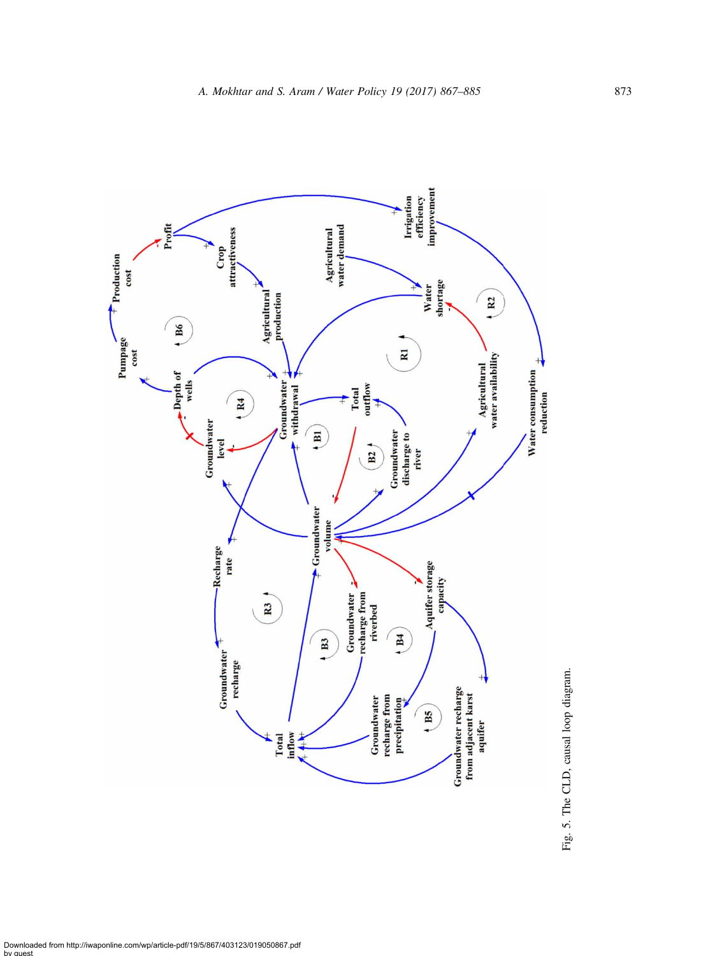<span id="page-6-0"></span>

Fig. 5. The CLD, causal loop diagram. Fig. 5. The CLD, causal loop diagram.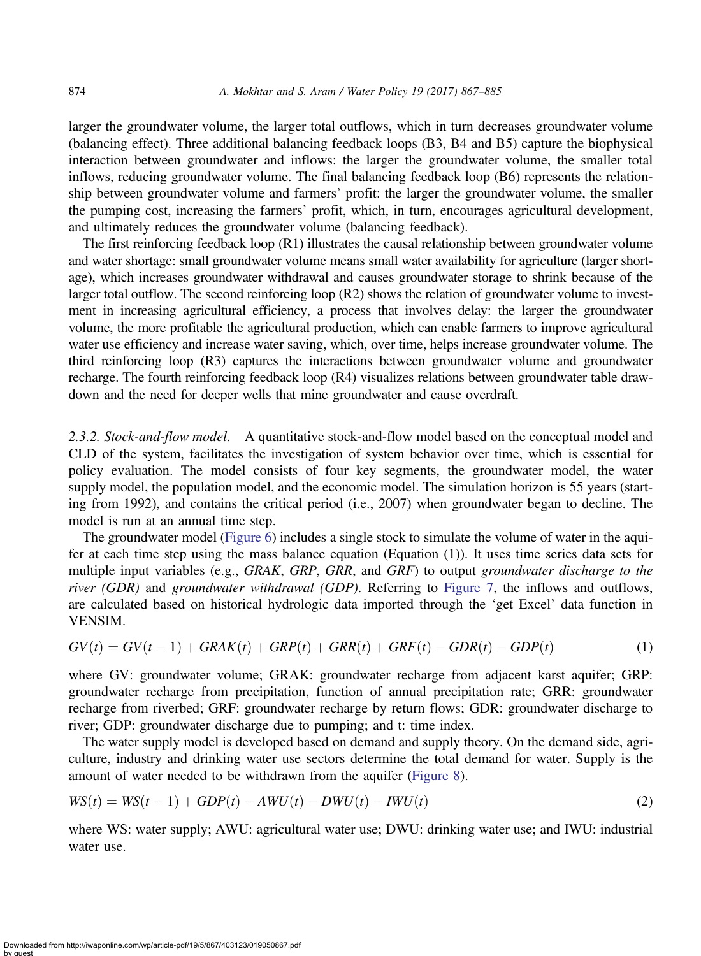larger the groundwater volume, the larger total outflows, which in turn decreases groundwater volume (balancing effect). Three additional balancing feedback loops (B3, B4 and B5) capture the biophysical interaction between groundwater and inflows: the larger the groundwater volume, the smaller total inflows, reducing groundwater volume. The final balancing feedback loop (B6) represents the relationship between groundwater volume and farmers' profit: the larger the groundwater volume, the smaller the pumping cost, increasing the farmers' profit, which, in turn, encourages agricultural development, and ultimately reduces the groundwater volume (balancing feedback).

The first reinforcing feedback loop (R1) illustrates the causal relationship between groundwater volume and water shortage: small groundwater volume means small water availability for agriculture (larger shortage), which increases groundwater withdrawal and causes groundwater storage to shrink because of the larger total outflow. The second reinforcing loop (R2) shows the relation of groundwater volume to investment in increasing agricultural efficiency, a process that involves delay: the larger the groundwater volume, the more profitable the agricultural production, which can enable farmers to improve agricultural water use efficiency and increase water saving, which, over time, helps increase groundwater volume. The third reinforcing loop (R3) captures the interactions between groundwater volume and groundwater recharge. The fourth reinforcing feedback loop (R4) visualizes relations between groundwater table drawdown and the need for deeper wells that mine groundwater and cause overdraft.

2.3.2. Stock-and-flow model. A quantitative stock-and-flow model based on the conceptual model and CLD of the system, facilitates the investigation of system behavior over time, which is essential for policy evaluation. The model consists of four key segments, the groundwater model, the water supply model, the population model, and the economic model. The simulation horizon is 55 years (starting from 1992), and contains the critical period (i.e., 2007) when groundwater began to decline. The model is run at an annual time step.

The groundwater model ([Figure 6](#page-8-0)) includes a single stock to simulate the volume of water in the aquifer at each time step using the mass balance equation (Equation (1)). It uses time series data sets for multiple input variables (e.g.,  $GRAK$ ,  $GRP$ ,  $GRR$ , and  $GRF$ ) to output *groundwater discharge to the* river (GDR) and groundwater withdrawal (GDP). Referring to [Figure 7](#page-9-0), the inflows and outflows, are calculated based on historical hydrologic data imported through the 'get Excel' data function in VENSIM.

$$
GV(t) = GV(t-1) + GRAK(t) + GRP(t) + GRR(t) + GRF(t) - GDR(t) - GDP(t)
$$
\n
$$
(1)
$$

where GV: groundwater volume; GRAK: groundwater recharge from adjacent karst aquifer; GRP: groundwater recharge from precipitation, function of annual precipitation rate; GRR: groundwater recharge from riverbed; GRF: groundwater recharge by return flows; GDR: groundwater discharge to river; GDP: groundwater discharge due to pumping; and t: time index.

The water supply model is developed based on demand and supply theory. On the demand side, agriculture, industry and drinking water use sectors determine the total demand for water. Supply is the amount of water needed to be withdrawn from the aquifer [\(Figure 8\)](#page-10-0).

$$
WS(t) = WS(t-1) + GDP(t) - AWU(t) - DWU(t) - IWU(t)
$$
\n(2)

where WS: water supply; AWU: agricultural water use; DWU: drinking water use; and IWU: industrial water use.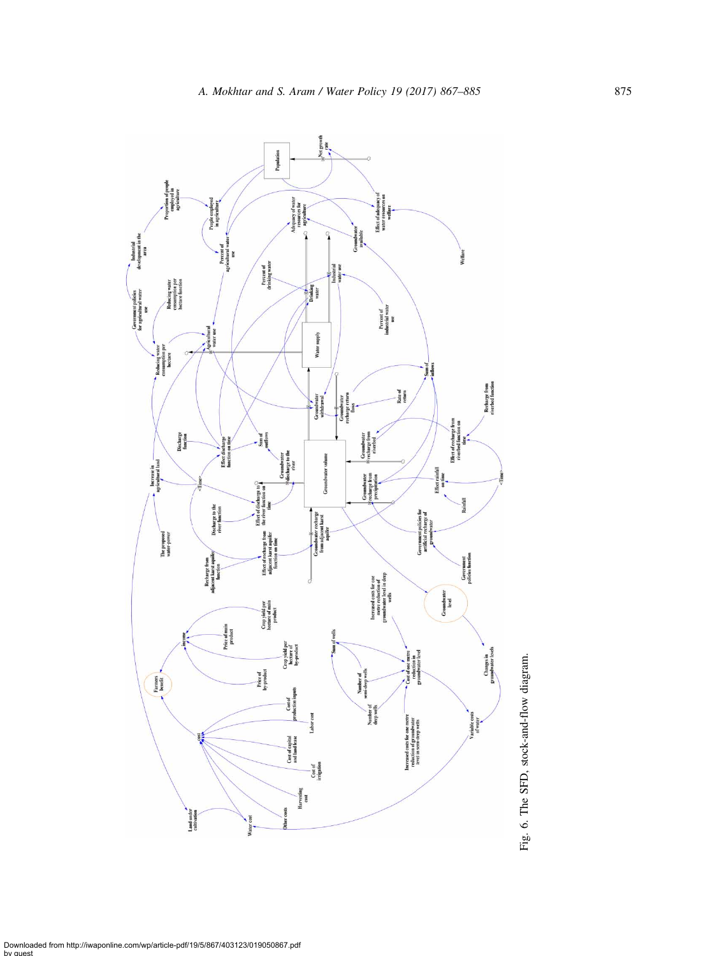<span id="page-8-0"></span>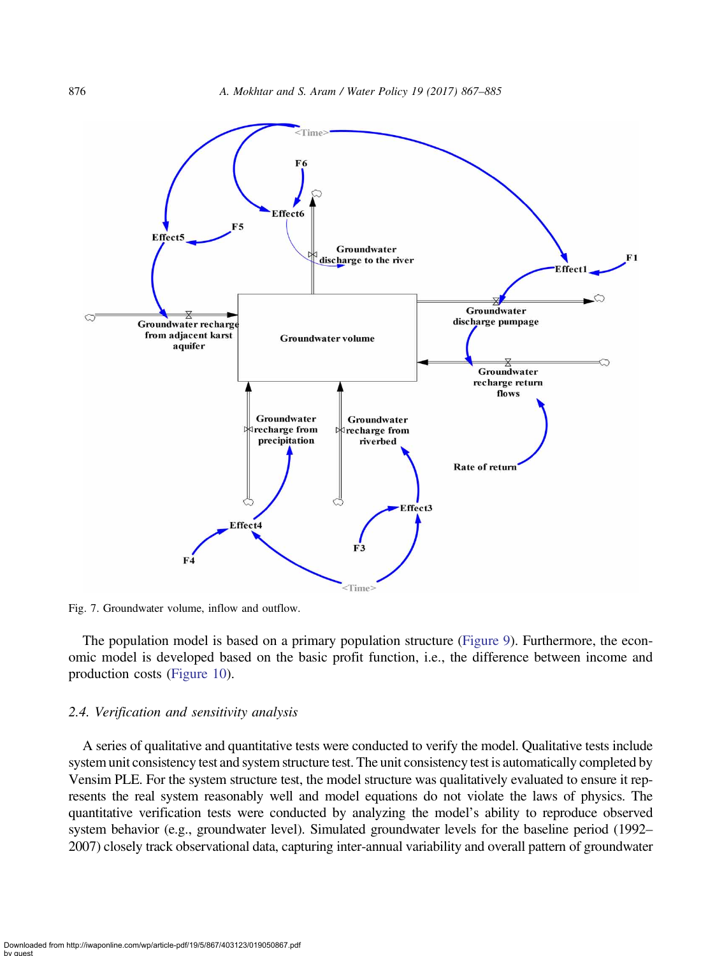

Fig. 7. Groundwater volume, inflow and outflow.

The population model is based on a primary population structure [\(Figure 9](#page-11-0)). Furthermore, the economic model is developed based on the basic profit function, i.e., the difference between income and production costs ([Figure 10\)](#page-12-0).

# 2.4. Verification and sensitivity analysis

A series of qualitative and quantitative tests were conducted to verify the model. Qualitative tests include system unit consistency test and system structure test. The unit consistency test is automatically completed by Vensim PLE. For the system structure test, the model structure was qualitatively evaluated to ensure it represents the real system reasonably well and model equations do not violate the laws of physics. The quantitative verification tests were conducted by analyzing the model's ability to reproduce observed system behavior (e.g., groundwater level). Simulated groundwater levels for the baseline period (1992– 2007) closely track observational data, capturing inter-annual variability and overall pattern of groundwater

<span id="page-9-0"></span>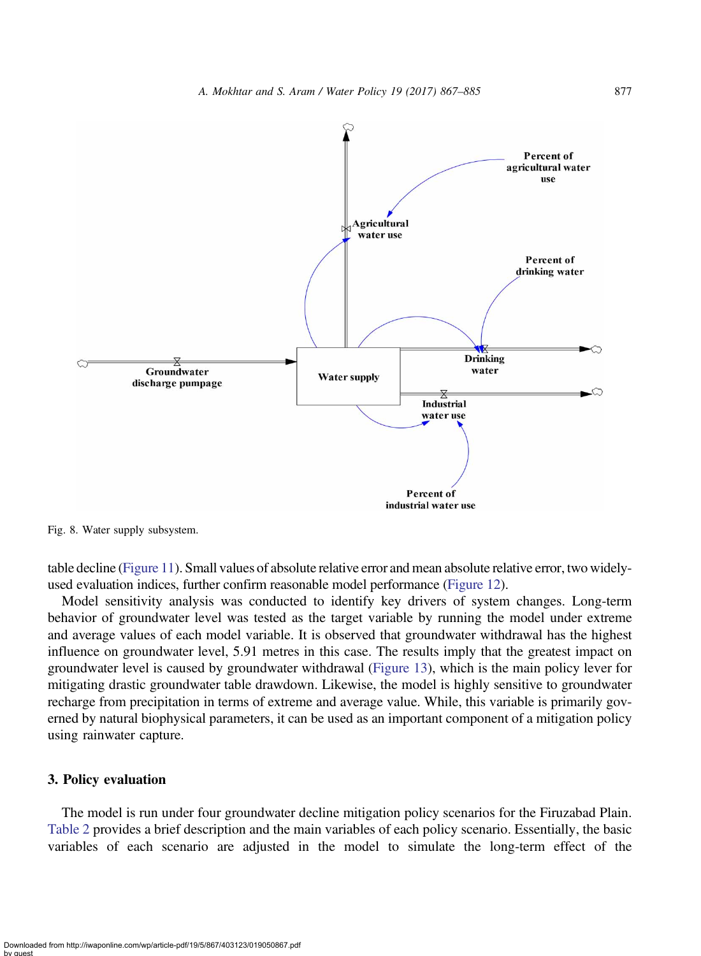<span id="page-10-0"></span>

Fig. 8. Water supply subsystem.

table decline [\(Figure 11\)](#page-13-0). Small values of absolute relative error and mean absolute relative error, two widelyused evaluation indices, further confirm reasonable model performance ([Figure 12\)](#page-14-0).

Model sensitivity analysis was conducted to identify key drivers of system changes. Long-term behavior of groundwater level was tested as the target variable by running the model under extreme and average values of each model variable. It is observed that groundwater withdrawal has the highest influence on groundwater level, 5.91 metres in this case. The results imply that the greatest impact on groundwater level is caused by groundwater withdrawal ([Figure 13](#page-15-0)), which is the main policy lever for mitigating drastic groundwater table drawdown. Likewise, the model is highly sensitive to groundwater recharge from precipitation in terms of extreme and average value. While, this variable is primarily governed by natural biophysical parameters, it can be used as an important component of a mitigation policy using rainwater capture.

#### 3. Policy evaluation

The model is run under four groundwater decline mitigation policy scenarios for the Firuzabad Plain. [Table 2](#page-16-0) provides a brief description and the main variables of each policy scenario. Essentially, the basic variables of each scenario are adjusted in the model to simulate the long-term effect of the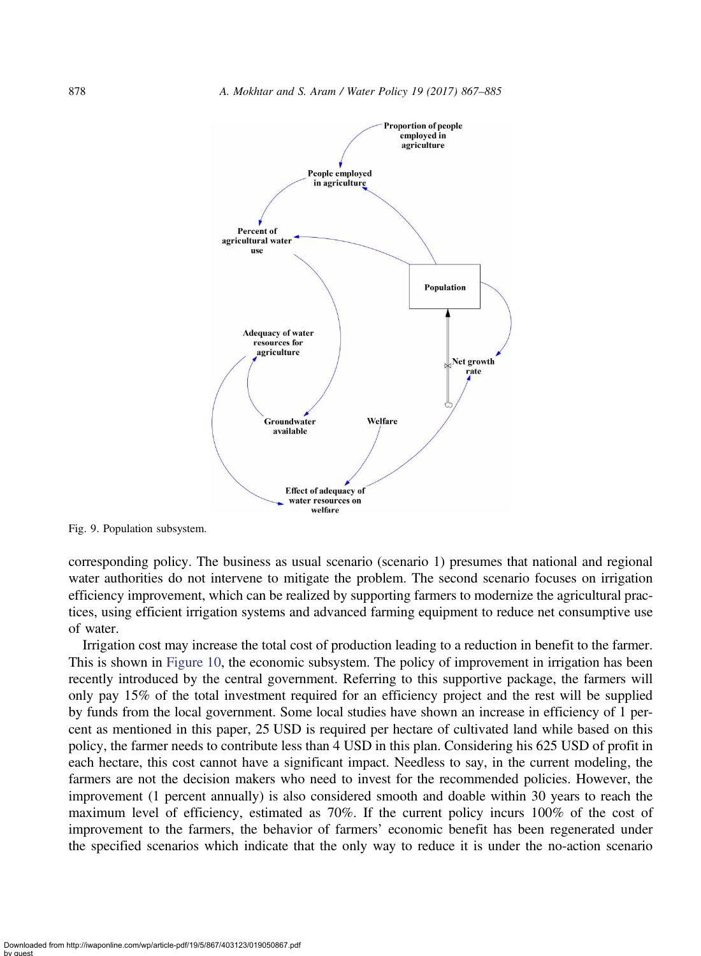<span id="page-11-0"></span>

Fig. 9. Population subsystem.

corresponding policy. The business as usual scenario (scenario 1) presumes that national and regional water authorities do not intervene to mitigate the problem. The second scenario focuses on irrigation efficiency improvement, which can be realized by supporting farmers to modernize the agricultural practices, using efficient irrigation systems and advanced farming equipment to reduce net consumptive use of water.

Irrigation cost may increase the total cost of production leading to a reduction in benefit to the farmer. This is shown in [Figure 10,](#page-12-0) the economic subsystem. The policy of improvement in irrigation has been recently introduced by the central government. Referring to this supportive package, the farmers will only pay 15% of the total investment required for an efficiency project and the rest will be supplied by funds from the local government. Some local studies have shown an increase in efficiency of 1 percent as mentioned in this paper, 25 USD is required per hectare of cultivated land while based on this policy, the farmer needs to contribute less than 4 USD in this plan. Considering his 625 USD of profit in each hectare, this cost cannot have a significant impact. Needless to say, in the current modeling, the farmers are not the decision makers who need to invest for the recommended policies. However, the improvement (1 percent annually) is also considered smooth and doable within 30 years to reach the maximum level of efficiency, estimated as 70%. If the current policy incurs 100% of the cost of improvement to the farmers, the behavior of farmers' economic benefit has been regenerated under the specified scenarios which indicate that the only way to reduce it is under the no-action scenario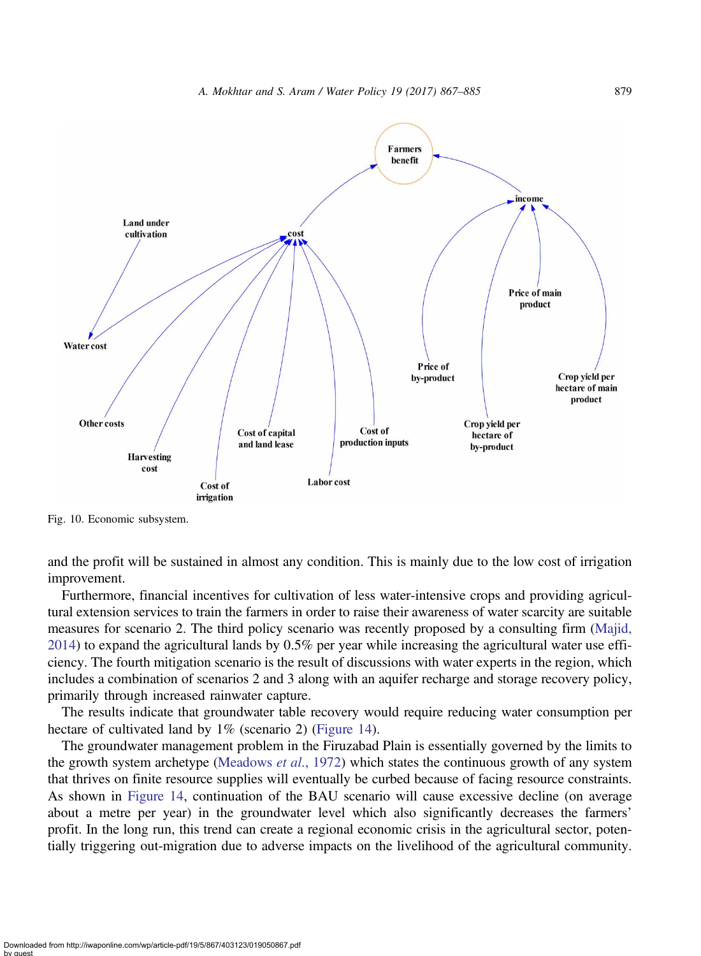<span id="page-12-0"></span>

Fig. 10. Economic subsystem.

and the profit will be sustained in almost any condition. This is mainly due to the low cost of irrigation improvement.

Furthermore, financial incentives for cultivation of less water-intensive crops and providing agricultural extension services to train the farmers in order to raise their awareness of water scarcity are suitable measures for scenario 2. The third policy scenario was recently proposed by a consulting firm [\(Majid,](#page-18-0) [2014](#page-18-0)) to expand the agricultural lands by 0.5% per year while increasing the agricultural water use efficiency. The fourth mitigation scenario is the result of discussions with water experts in the region, which includes a combination of scenarios 2 and 3 along with an aquifer recharge and storage recovery policy, primarily through increased rainwater capture.

The results indicate that groundwater table recovery would require reducing water consumption per hectare of cultivated land by 1% (scenario 2) ([Figure 14\)](#page-16-0).

The groundwater management problem in the Firuzabad Plain is essentially governed by the limits to the growth system archetype [\(Meadows](#page-18-0) et al., 1972) which states the continuous growth of any system that thrives on finite resource supplies will eventually be curbed because of facing resource constraints. As shown in [Figure 14,](#page-16-0) continuation of the BAU scenario will cause excessive decline (on average about a metre per year) in the groundwater level which also significantly decreases the farmers' profit. In the long run, this trend can create a regional economic crisis in the agricultural sector, potentially triggering out-migration due to adverse impacts on the livelihood of the agricultural community.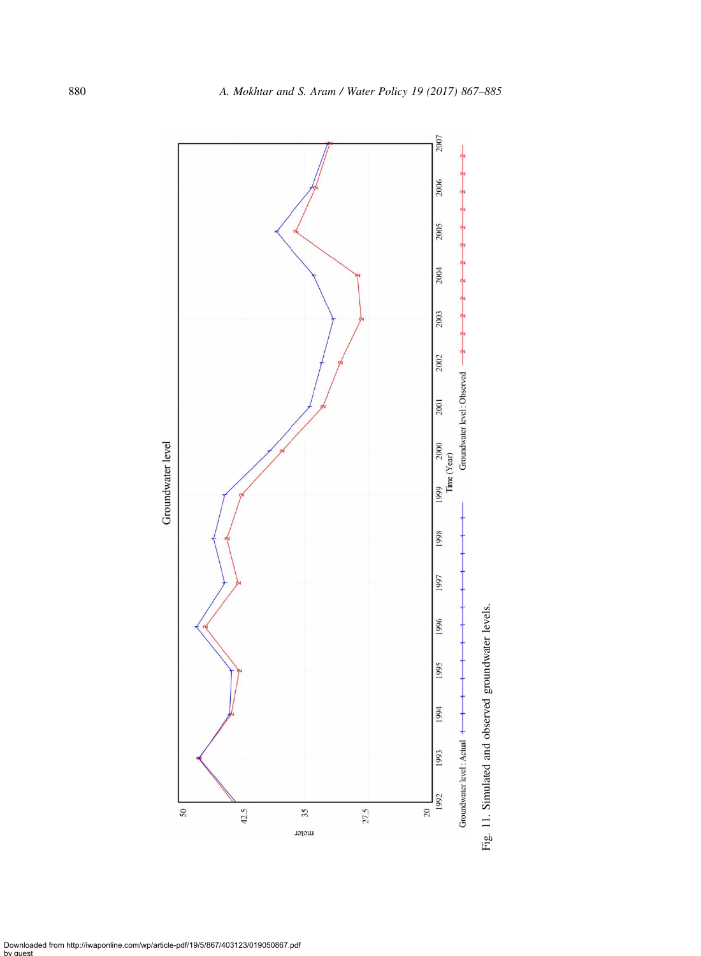<span id="page-13-0"></span>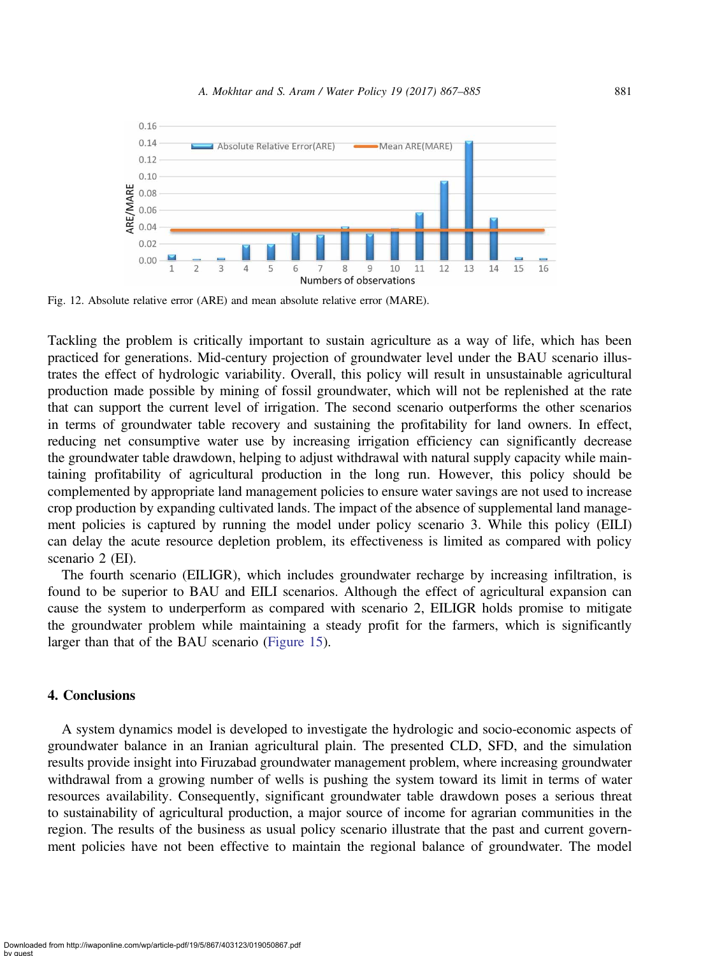<span id="page-14-0"></span>

Fig. 12. Absolute relative error (ARE) and mean absolute relative error (MARE).

Tackling the problem is critically important to sustain agriculture as a way of life, which has been practiced for generations. Mid-century projection of groundwater level under the BAU scenario illustrates the effect of hydrologic variability. Overall, this policy will result in unsustainable agricultural production made possible by mining of fossil groundwater, which will not be replenished at the rate that can support the current level of irrigation. The second scenario outperforms the other scenarios in terms of groundwater table recovery and sustaining the profitability for land owners. In effect, reducing net consumptive water use by increasing irrigation efficiency can significantly decrease the groundwater table drawdown, helping to adjust withdrawal with natural supply capacity while maintaining profitability of agricultural production in the long run. However, this policy should be complemented by appropriate land management policies to ensure water savings are not used to increase crop production by expanding cultivated lands. The impact of the absence of supplemental land management policies is captured by running the model under policy scenario 3. While this policy (EILI) can delay the acute resource depletion problem, its effectiveness is limited as compared with policy scenario 2 (EI).

The fourth scenario (EILIGR), which includes groundwater recharge by increasing infiltration, is found to be superior to BAU and EILI scenarios. Although the effect of agricultural expansion can cause the system to underperform as compared with scenario 2, EILIGR holds promise to mitigate the groundwater problem while maintaining a steady profit for the farmers, which is significantly larger than that of the BAU scenario [\(Figure 15](#page-17-0)).

# 4. Conclusions

A system dynamics model is developed to investigate the hydrologic and socio-economic aspects of groundwater balance in an Iranian agricultural plain. The presented CLD, SFD, and the simulation results provide insight into Firuzabad groundwater management problem, where increasing groundwater withdrawal from a growing number of wells is pushing the system toward its limit in terms of water resources availability. Consequently, significant groundwater table drawdown poses a serious threat to sustainability of agricultural production, a major source of income for agrarian communities in the region. The results of the business as usual policy scenario illustrate that the past and current government policies have not been effective to maintain the regional balance of groundwater. The model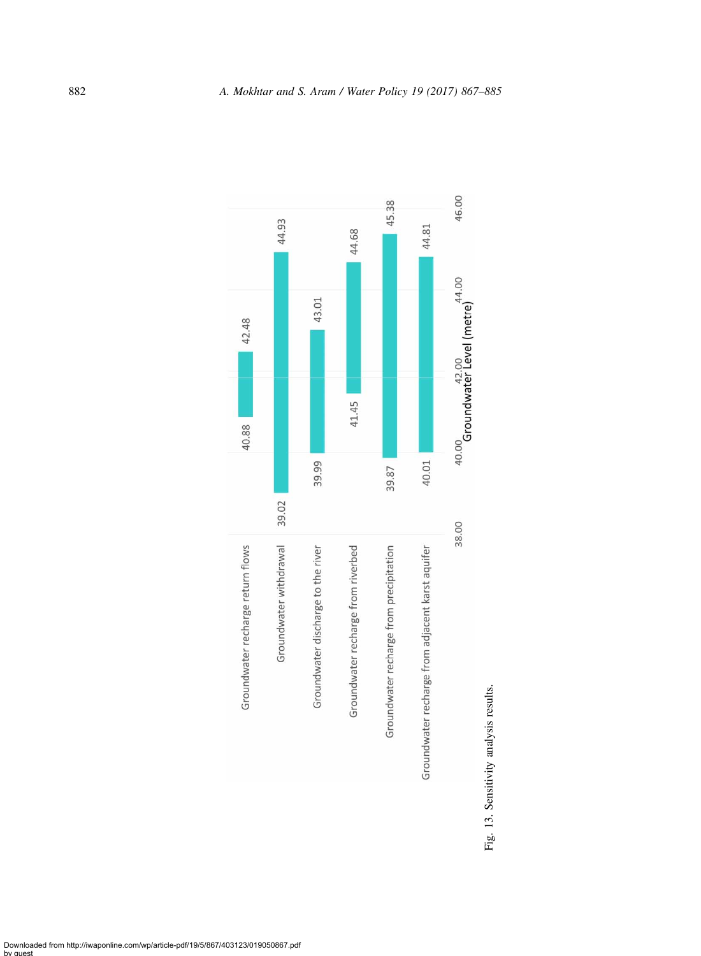<span id="page-15-0"></span>

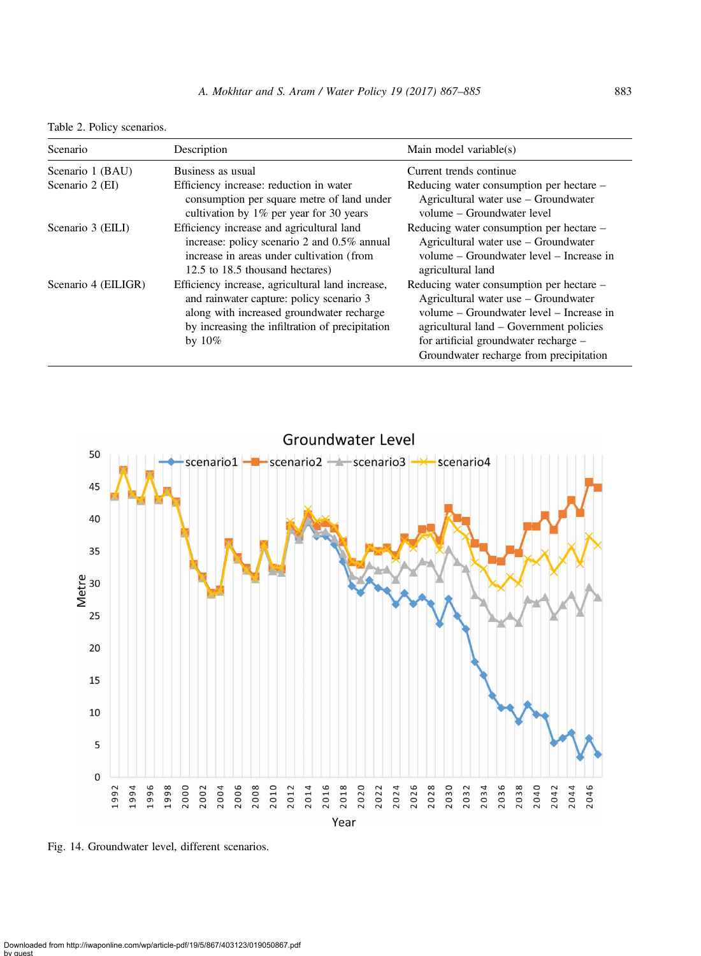<span id="page-16-0"></span>Table 2. Policy scenarios.

| Scenario            | Description                                                                                                                                                                                               | Main model variable(s)                                                                                                                                                                                                                                      |
|---------------------|-----------------------------------------------------------------------------------------------------------------------------------------------------------------------------------------------------------|-------------------------------------------------------------------------------------------------------------------------------------------------------------------------------------------------------------------------------------------------------------|
| Scenario 1 (BAU)    | Business as usual                                                                                                                                                                                         | Current trends continue                                                                                                                                                                                                                                     |
| Scenario 2 (EI)     | Efficiency increase: reduction in water<br>consumption per square metre of land under<br>cultivation by $1\%$ per year for 30 years                                                                       | Reducing water consumption per hectare -<br>Agricultural water use - Groundwater<br>volume – Groundwater level                                                                                                                                              |
| Scenario 3 (EILI)   | Efficiency increase and agricultural land<br>increase: policy scenario 2 and 0.5% annual<br>increase in areas under cultivation (from<br>12.5 to 18.5 thousand hectares)                                  | Reducing water consumption per hectare –<br>Agricultural water use – Groundwater<br>volume – Groundwater level – Increase in<br>agricultural land                                                                                                           |
| Scenario 4 (EILIGR) | Efficiency increase, agricultural land increase,<br>and rainwater capture: policy scenario 3<br>along with increased groundwater recharge<br>by increasing the infiltration of precipitation<br>by $10\%$ | Reducing water consumption per hectare -<br>Agricultural water use – Groundwater<br>volume – Groundwater level – Increase in<br>agricultural land - Government policies<br>for artificial groundwater recharge -<br>Groundwater recharge from precipitation |



Fig. 14. Groundwater level, different scenarios.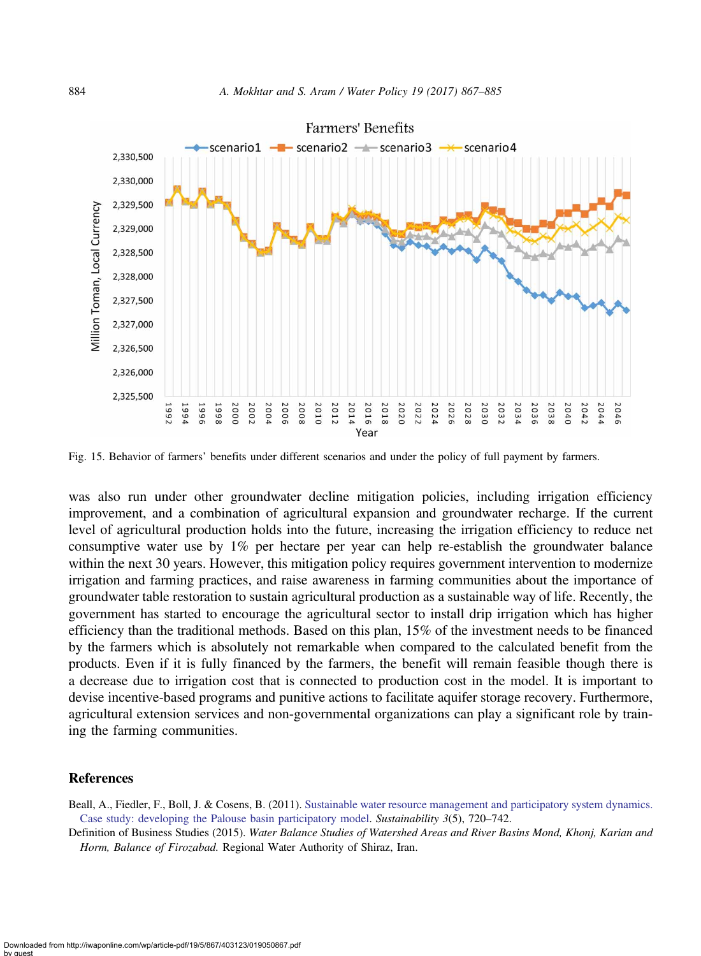<span id="page-17-0"></span>

Fig. 15. Behavior of farmers' benefits under different scenarios and under the policy of full payment by farmers.

was also run under other groundwater decline mitigation policies, including irrigation efficiency improvement, and a combination of agricultural expansion and groundwater recharge. If the current level of agricultural production holds into the future, increasing the irrigation efficiency to reduce net consumptive water use by 1% per hectare per year can help re-establish the groundwater balance within the next 30 years. However, this mitigation policy requires government intervention to modernize irrigation and farming practices, and raise awareness in farming communities about the importance of groundwater table restoration to sustain agricultural production as a sustainable way of life. Recently, the government has started to encourage the agricultural sector to install drip irrigation which has higher efficiency than the traditional methods. Based on this plan, 15% of the investment needs to be financed by the farmers which is absolutely not remarkable when compared to the calculated benefit from the products. Even if it is fully financed by the farmers, the benefit will remain feasible though there is a decrease due to irrigation cost that is connected to production cost in the model. It is important to devise incentive-based programs and punitive actions to facilitate aquifer storage recovery. Furthermore, agricultural extension services and non-governmental organizations can play a significant role by training the farming communities.

#### **References**

Beall, A., Fiedler, F., Boll, J. & Cosens, B. (2011). [Sustainable water resource management and participatory system dynamics.](http://dx.doi.org/10.3390/su3050720) [Case study: developing the Palouse basin participatory model.](http://dx.doi.org/10.3390/su3050720) Sustainability 3(5), 720–742.

Definition of Business Studies (2015). Water Balance Studies of Watershed Areas and River Basins Mond, Khonj, Karian and Horm, Balance of Firozabad. Regional Water Authority of Shiraz, Iran.